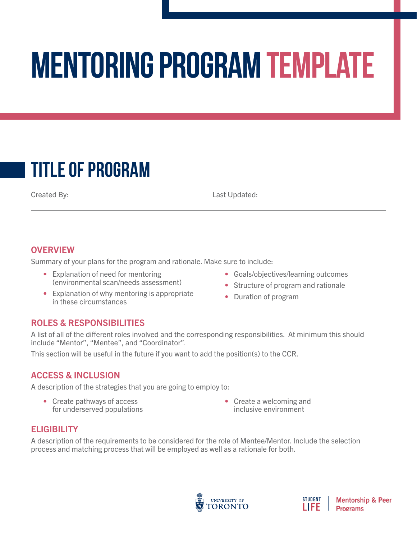# **Mentoring program template**

# **title of program**

Created By: Last Updated:

#### **OVERVIEW**

Summary of your plans for the program and rationale. Make sure to include:

- Explanation of need for mentoring (environmental scan/needs assessment)
- Explanation of why mentoring is appropriate in these circumstances
- Goals/objectives/learning outcomes
- Structure of program and rationale
- Duration of program

#### ROLES & RESPONSIBILITIES

A list of all of the different roles involved and the corresponding responsibilities. At minimum this should include "Mentor", "Mentee", and "Coordinator".

This section will be useful in the future if you want to add the position(s) to the CCR.

#### ACCESS & INCLUSION

A description of the strategies that you are going to employ to:

• Create pathways of access for underserved populations • Create a welcoming and inclusive environment

#### **ELIGIBILITY**

A description of the requirements to be considered for the role of Mentee/Mentor. Include the selection process and matching process that will be employed as well as a rationale for both.